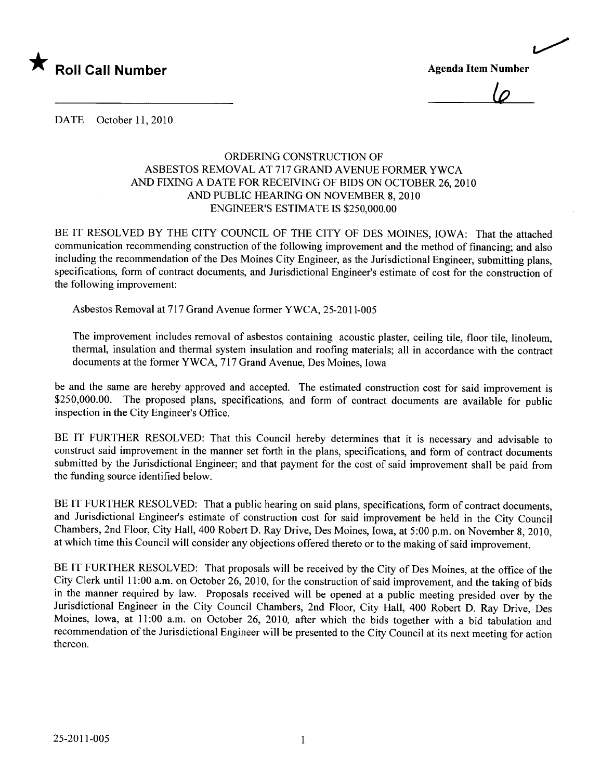

~

lp

DATE October 11, 2010

## ORDERING CONSTRUCTION OF ASBESTOS REMOVAL AT 717 GRAND AVENUE FORMER YWCA AND FIXING A DATE FOR RECEIVING OF BIDS ON OCTOBER 26, 2010 AND PUBLIC HEARING ON NOVEMBER 8, 2010 ENGINEER'S ESTIMATE IS \$250,000.00

BE IT RESOLVED BY THE CITY COUNCIL OF THE CITY OF DES MOINES, IOWA: That the attached communication recommending construction of the following improvement and the method of financing; and also including the recommendation of the Des Moines City Engineer, as the Jurisdictional Engineer, submitting plans, specifications, form of contract documents, and Jurisdictional Engineer's estimate of cost for the construction of the following improvement:

Asbestos Removal at 717 Grand Avenue former YWCA, 25-2011-005

The improvement includes removal of asbestos containing acoustic plaster, ceiling tile, floor tile, linoleum, thermal, insulation and thermal system insulation and roofing materials; all in accordance with the contract documents at the former YWCA, 717 Grand Avenue, Des Moines, Iowa

be and the same are hereby approved and accepted. The estimated construction cost for said improvement is \$250,000.00. The proposed plans, specifications, and form of contract documents are available for public inspection in the City Engineer's Office.

BE IT FURTHER RESOLVED: That this Council hereby determines that it is necessary and advisable to construct said improvement in the manner set forth in the plans, specifications, and form of contract documents submitted by the Jurisdictional Engineer; and that payment for the cost of said improvement shall be paid from the funding source identified below.

BE IT FURTHER RESOLVED: That a public hearing on said plans, specifications, form of contract documents, and Jurisdictional Engineer's estimate of construction cost for said improvement be held in the City Council Chambers, 2nd Floor, City Hall, 400 Robert D. Ray Drive, Des Moines, Iowa, at 5:00 p.m. on November 8, 2010, at which time this Council will consider any objections offered thereto or to the making of said improvement.

BE IT FURTHER RESOLVED: That proposals will be received by the City of Des Moines, at the office of the City Clerk until 11 :00 a.m. on October 26, 2010, for the construction of said improvement, and the taking of bids in the manner required by law. Proposals received wil be opened at a public meeting presided over by the Jurisdictional Engineer in the City Council Chambers, 2nd Floor, City Hall, 400 Robert D. Ray Drive, Des Moines, Iowa, at 11:00 a.m. on October 26, 2010, after which the bids together with a bid tabulation and recommendation of the Jurisdictional Engineer will be presented to the City Council at its next meeting for action thereon.